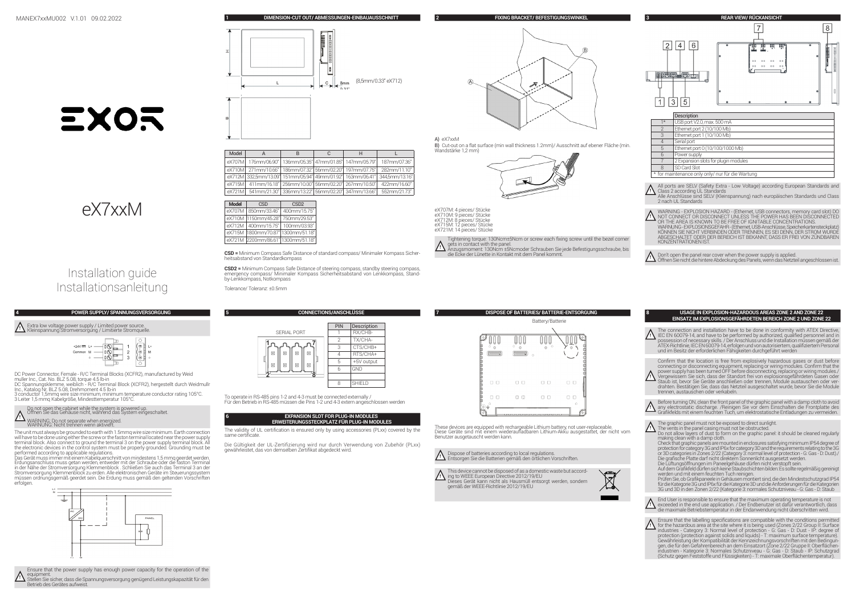**1 DIMENSION-CUT OUT/ ABMESSUNGEN-EINBAUAUSSCHNITT**

 $\vert$ 

8<sub>mm</sub>

**2 FIXING BRACKET/ BEFESTIGUNGSWINKEL**

B) Cut-out on a flat surface (min wall thickness 1.2mm)/ Ausschnitt auf ebener Fläche (min. Wandstärke 1,2 mm)

Ā

**}\**<br>Anzugsmoment: 130Ncm ±5Ncmoder Schrauben Sie jede Befestigungsschraube, bis<br>die Ecke der Lünette in Kontakt mit dem Panel kommt. Tightening torque: 130Ncm±5Ncm or screw each fixing screw until the bezel corner



 $\sqrt{8}$ 

# EXOR





DC Power Connector, Female - R/C Terminal Blocks (XCFR2), manufactured by Weid muller Inc., Cat. No. BLZ 5.08, torque 4.5 lb-in DC Spannungsklemme, weiblich - R/C Terminal Block (XCFR2), hergestellt durch Weidmullr Inc., Katalog Nr. BLZ 5.08, Drehmoment 4.5 lb-in 3 conductor 1,5mmq wire size minimum, minimum temperature conductor rating 105°C. 3 Leiter 1,5 mmq Kabelgröße, Mindesttemperatur 105°C.

 $\begin{picture}(120,10) \put(0,0){\line(1,0){100}} \put(15,0){\line(1,0){100}} \put(15,0){\line(1,0){100}} \put(15,0){\line(1,0){100}} \put(15,0){\line(1,0){100}} \put(15,0){\line(1,0){100}} \put(15,0){\line(1,0){100}} \put(15,0){\line(1,0){100}} \put(15,0){\line(1,0){100}} \put(15,0){\line(1,0){100}} \put(15,0){\line(1,0){100}}$ 

The unit must always be grounded to earth with 1.5mmq wire size minimum. Earth connection will have to be done using either the screw or the faston terminal located near the power supply terminal block. Also connect to ground the terminal 3 on the power supply terminal block. All terminal block. Also connect to ground the terminal bloritie power supply terminal block. All<br>the electronic devices in the control system must be properly grounded. Grounding must be performed according to applicable regulations. Das Gerät muss immer mit einem Kabelquerschnitt von mindestens 1,5 mmq geerdet werden. Erdungsanschluss muss getan werden, entweder mit der Schraube oder die faston Terminal in der Nähe der Stromversorgung Klemmenblock . Schließen Sie auch das Terminal 3 an der Stromversorgung Klemmenblock zu erden. Alle elektronischen Geräte im Steuerungssystem müssen ordnungsgemäß geerdet sein. Die Erdung muss gemäß den geltenden Vorschriften

Do not open the cabinet while the system is powered up.<br>Öffnen Sie das Gehäuse nicht, während das System eingeschaltet.

**!** Extra low voltage power supply / Limited power source. Kleinspannung Stromversorgung / Limitierte Stromquelle.

**!** WARNING: Do not separate when energized. WARNUNG: Nicht trennen wenn aktiviert.

⋣

erfolgen.

# Installation guide

**4 POWER SUPPLY/ SPANNUNGSVERSORGUNG**

 $\overline{2}$ 

# Model| A | B | C | H | L

| eX707M   176mm/06.90"   136mm/05.35" 47mm/01.85"   147mm/05.79"   |  | 187mm/07.36"                                                                     |
|-------------------------------------------------------------------|--|----------------------------------------------------------------------------------|
|                                                                   |  | eX710M 271mm/10.66"   186mm/07.32" 56mm/02.20"   197mm/07.75"   282mm/11.10"     |
| eX712M 332.5mm/13.09" 151mm/05.94" 49mm/01.92" 163mm/06.41"       |  | 344.5mm/13.16"                                                                   |
|                                                                   |  | eX715M   411mm/16.18"   256mm/10.00"   56mm/02.20"   267mm/10.50"   422mm/16.60" |
| eX721M   541mm/21.30"   336mm/13.22"   56mm/02.20"   347mm/13.66" |  | 552mm/21.73"                                                                     |
|                                                                   |  |                                                                                  |



**CSD =** Minimum Compass Safe Distance of standard compass/ Minimaler Kompass Sicherheitsabstand von Standardkompass

**CSD2 =** Minimum Compass Safe Distance of steering compass, standby steering compass, emergency compass/ Minimaler Kompass Sicherheitsabstand von Lenkkompass, Stand-by-Lenkkompass, Notkompass

Tolerance/ Toleranz: ±0.5mm

|                                      | <b>UUNNEU HUNS/ANSUMLUSSE</b> |                    |  |
|--------------------------------------|-------------------------------|--------------------|--|
|                                      | PIN                           | <b>Description</b> |  |
| <b>SERIAL PORT</b>                   |                               | RX/CHB-            |  |
|                                      | 2                             | TX/CHA-            |  |
|                                      |                               |                    |  |
|                                      | з                             | CTS/CHB+           |  |
| 囸<br>囸<br>园<br>回<br>回<br>囸<br>囸<br>囸 |                               | RTS/CHA+           |  |
|                                      | 5                             | +5V output         |  |
|                                      | ĥ                             | GND                |  |
| 8                                    |                               |                    |  |
|                                      | я                             | <b>SHIELD</b>      |  |

To operate in RS-485 pins 1-2 and 4-3 must be connected externally / Für den Betrieb in RS-485 müssen die Pins 1-2 und 4-3 extern angeschlossen werden

# **6 EXPANSION SLOT FOR PLUG-IN MODULES ERWEITERUNGSSTECKPLATZ FÜR PLUG-IN MODULES**

The validity of UL certification is ensured only by using accessories (PLxx) covered by the same certificate.

Die Gültigkeit der UL-Zertifizierung wird nur durch Verwendung von Zubehör (PLxx) gewährleistet, das von demselben Zertifikat abgedeckt wird.

|        | Battery/Batterie |        |   |  |  |  |
|--------|------------------|--------|---|--|--|--|
|        |                  |        |   |  |  |  |
|        |                  |        |   |  |  |  |
|        |                  |        |   |  |  |  |
|        |                  |        |   |  |  |  |
|        |                  |        |   |  |  |  |
|        |                  |        |   |  |  |  |
| г<br>ш | п<br>п           | п<br>п | п |  |  |  |
|        |                  |        |   |  |  |  |
|        | 00               | n<br>п |   |  |  |  |
|        |                  |        | c |  |  |  |
|        |                  |        |   |  |  |  |

**<sup>7</sup> DISPOSE OF BATTERIES/ BATTERIE-ENTSORGUNG**

These devices are equipped with rechargeable Lithium battery, not user-replaceable. Diese Geräte sind mit einem wiederaufladbaren Lithium-Akku ausgestattet, der nicht vom Benutzer ausgetauscht werden kann.

# **!** Dispose of batteries according to local regulations. Entsorgen Sie die Batterien gemäß den örtlichen Vorschriften.

**1** This device cannot be disposed of as a domestic waste but accord-<br>**i**ng to WEEE European Directive 2012/19/EU<br>Dieses Gerät kann nicht als Hausmüll entsorgt werden, sondern<br>gemäß der WEEE-Richtlinie 2012/19/EU  $\lambda$ 



**↑ A**ll ports are SELV (Safety Extra - Low Voltage) according European Standards and<br><u>↑</u> Class 2 according UL Standards<br>Alle Anschlüsse sind SELV (Kleinspannung) nach europäischen Standards und Class

\* for maintenance only only/ nur für die Wartung

- 2 nach UL Standards
- **!** WARNING EXPLOSION HAZARD (Ethernet, USB connectors, memory card slot) DO NOT CONNECT OR DISCONNECT UNLESS THE POWER HAS BEEN DISCONNECTED OR THE AREA IS KNOWN TO BE FREE OF IGNITABLE CONCENTRATIONS.<br>WARNUNG-EXPLOSIONSGEFAHR - (Ethernet, USB-Anschlüsse, Speicherkartensteckplatz)<br>KÖNNEN SIE NICHT VERBINDEN ODER TRENNEN, ES SEI DENN, DER STROM WURDE ABGESCHALTET ODER DER BEREICH IST BEKANNT, DASS ER FREI VON ZÜNDBAREN KONZENTRATIONEN IST.
- **!** Don't open the panel rear cover when the power supply is applied. Öffnen Sie nicht die hintere Abdeckung des Panels, wenn das Netzteil angeschlossen ist.

# **8 USAGE IN EXPLOSION-HAZARDOUS AREAS ZONE 2 AND ZONE 22 EINSATZ IM EXPLOSIONSGEFÄHRDETEN BEREICH ZONE 2 UND ZONE 22**

- The connection and installation have to be done in conformity with ATEX Directive,<br>L. (EC EN 60079-14, and have to be performed by authorized, qualified personnel and in<br>ATEX-Richtlinie, IEC EN 60079-14, erfolgen und von a und im Besitz der erforderlichen Fähigkeiten durchgeführt werden
- Confirm that the location is free from explosively hazardous gases or dust before connecting or disconnecting equipment, replacing or wiring modules. Confirm that the<br>power supply has been turned OFF before disconnecting, replacing or wiring modules.
- ↑ power supply has been turned OFF before disconnecting, replacing or wiring modules./<br>!ヽ Vergewissem Sie sich, dass der Standort frei von explosionsgefährdeten Gasen oder<br>└─ Staub ist, bevor Sie Geräte anschließen oder t drahten. Bestätigen Sie, dass das Netzteil ausgeschaltet wurde, bevor Sie die Module trennen, austauschen oder verkabeln.
- $\bigwedge_{\Box}$  Before turning ON, clean the front panel of the graphic panel with a damp cloth to avoid<br> $\bigwedge_{\Box}$  any electrostatic discharge. /Reinigen Sie vor dem Einschalten die Frontplatte des<br>Grafikfelds mit einem feuch
- 
- \ The graphic panel must not be exposed to direct sunlight.<br>Ly The vents in the panel casing must not be obstructed.<br>The wals making clean with a damp cloth.<br>Thaking clean with a damp cloth.
- Check that graphic panels are mounted in enclosures satisfying minimum IP54 degree of<br>protection for category 3G and IP6x for category 3D and the requirements relating to the 3G<br>or 3D categories in Zones 2/22 (Category 3: Die grafische Platte darf nicht direktem Sonnenlicht ausgesetzt werden. Die Lüftungsöffnungen im Paneelgehäuse dürfen nicht verstopft sein.
- Auf dem Grafikfeld dürfen sich keine Staubschichten bilden: Es sollte regelmäßig gereinigt<br>Prüfen Sie, ob Grafikpaneele in Gehäusen montiert sind, die den Mindestschutzgrad IP54<br>für die Kategorie 3G und IP6x für die Katego
- 3G und 3D in den Zonen 2/22 (Kategorie 3: normales Schutzniveau G: Gas D: Staub
- $\bigwedge$  End User is responsible to ensure that the maximum operating temperature is not<br>U exceeded in the end use application . / Der Endbenutzer ist dafür verantwortlich, das<br>die maximale Betriebstemperatur in der Endanwe
- The state that the labelling specifications are compatible with the conditions permitted for the hazardous area at the singular pulse industries Category 3. Normal level of protection G: Gas D: Dust IP: degree of p gen, die für den Gefahrenbereich an dem Einsatzort (Zone 2/22 Gruppe II: Oberflächen-<br>industrien - Kategorie 3: Normales Schutzniveau - G: Gas - D: Staub - IP: Schutzgrad<br>(Schutz gegen Feststoffe und Flüssigkeiten) - T: ma

**!** Ensure that the power supply has enough power capacity for the operation of the equipment. Stellen Sie sicher, dass die Spannungsversorgung genügend Leistungskapazität für den Betrieb des Gerätes aufweist.

 $\frac{1}{11}$ 

**5 CONNECTIONS/ANSCHLÜSSE**

(8,5mm/0.33" eX712)

A) eX7xxM

eX707M: 4 pieces/ Stücke eX710M: 9 pieces/ Stücke eX712M: 8 pieces/ Stücke eX715M: 12 pieces/ Stücke eX721M: 14 pieces/ Stücke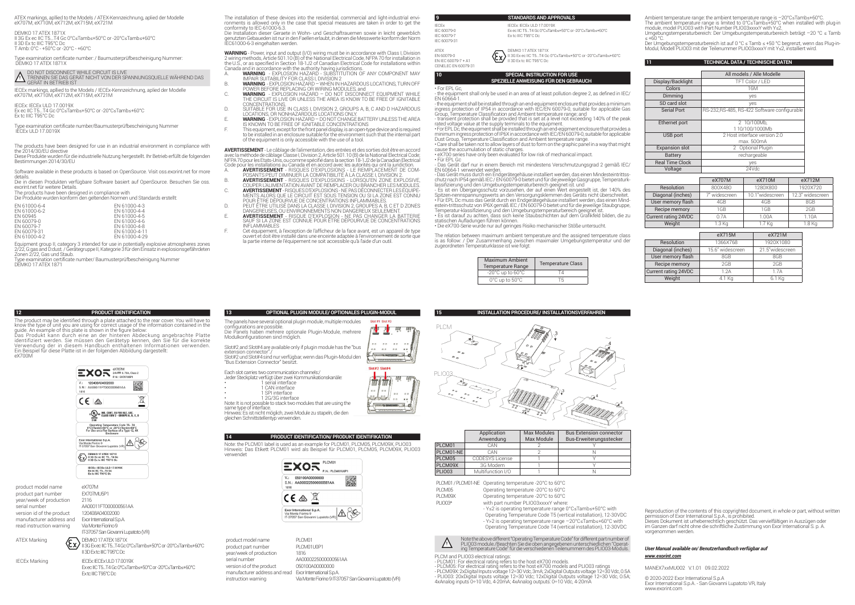ATEX markings, apllied to the Models / ATEX-Kennzeichnung, aplied der Modelle eX707M, eX710M, eX712M, eX715M, eX721M

DEMKO 17 ATEX 1871X<br>II 3G Ex ec IIC T5...T4 Gc 0°C≤Tamb≤+50°C or -20°C≤Tamb≤+60°C<br>II 3D Ex tc IIIC T95°C Dc T Amb: 0°C - +50°C or -20°C - +60°C

Type examination certificate number: / Baumusterprüfbescheinigung Nummer: DEMKO 17 ATEX 1871X

?● DO NOT DISCONNECT WHILE CIRCUIT IS LIVE<br><u>\*◆</u> TRENNEN SIE DAS GERÄT NICHT VON DER SPANNUNGSQUELLE WÄHREND DAS<br>● GERÄT IN BETRIEB IST

IECEx markings, apllied to the Models / IECEx-Kennzeichnung, aplied der Modelle eX707M, eX710M, eX712M, eX715M, eX721M

IECEx: IECEx ULD 17.0019X Ex ec IIC T5...T4 Gc 0°C≤Tamb≤+50°C or -20°C≤Tamb≤+60°C Ex tc IIIC T95°C Dc

Type examination certificate number/Baumusterprüfbescheinigung Nummer IECEx ULD 17.0019X

The products have been designed for use in an industrial environment in compliance with the 2014/30/EU directive Diese Produkte wurden für die industrielle Nutzung hergestellt. Ihr Betrieb erfüllt die folgenden Bestimmungen 2014/30/EU

Software available in these products is based on OpenSource. Visit oss.exorint.net for more

details. Die in diesen Produkten verfügbare Software basiert auf OpenSource. Besuchen Sie oss. exorint.net für weitere Details.

The products have been designed in compliance with

Die Produkte wurden konform den geltenden Normen und Standards erstellt: EN 61000-6-4<br>EN 61000-6-2<br>EN 61000-4-4

| FN 61000-6-2 | FN 61000-4-4  |
|--------------|---------------|
| FN 60945     | FN 61000-4-5  |
| FN 60079-0   | FN 61000-4-6  |
| FN 60079-7   | FN 61000-4-8  |
| FN 60079-31  | FN 61000-4-11 |
| FN 61000-4-2 | EN 61000-4-29 |
|              |               |

Equipment group II, category 3 intended for use in potentially explosive atmospheres zones 2/22, G:gas and D:dust. / Gerätegruppe II, Kategorie 3 für den Einsatz in explosionsgefährdeten Zonen 2/22, Gas und Staub.

The product may be identified through a plate attached to the rear cover. You will have to know the type of unit you are using for correct usage of the information contained in the guide. An example of this plate is shown in the figure below: Das Produkt kann durch eine an der hinteren Abdeckung angebrachte Platte

Type examination certificate number/ Baumusterprüfbescheinigung Nummer DEMKO 17 ATEX 1871

**12 PRODUCT IDENTIFICATION**

The installation of these devices into the residential, commercial and light-industrial envi- ronments is allowed only in the case that special measures are taken in order to get the conformity to IEC-61000-6.3.<br>Conformity to IEC-61000-6.3.<br>Dia Installation dieser Geraeta in Wohn- und Geschaftrauemen sowie in leicht gewerblich

Die Installation dieser Geraete in Wohn- und Geschaftrauemen sowie in leicht gewerblich genutzten Gebaueden ist nur in den Faellen erlaubt, in denen die Messwerte konform der Norm IEC61000-6-3 eingehalten werden.

**WARNING** - Power, input and output (I/O) wiring must be in accordance with Class I, Division 2 wiring methods, Article 501.10 (B) of the National Electrical Code, NFPA 70 for installation in the U.S., or as specified in Section 18-1/2 of Canadian Electrical Code for installations within<br>Canada and in accordance with the authority having jurisdictions.<br>A. WARNING - EXPLOSION HAZARD - SUBSTITUTION OF ANY COMPONE

- 
- B. **WARNING**  EXPLOSION HAZARD WHEN IN HAZARDOUS LOCATIONS, TURN OFF POWER BEFORE REPLACING OR WIRING MODULES, and C. **WARNING** - EXPLOSION HAZARD – DO NOT DISCONNECT EQUIPMENT WHILE
- **THE CIRCUIT IS LIVE OR UNLESS THE AREA IS KNOW TO BE FREE OF IGNITABLE**<br>THE CIRCUIT IS LIVE OR UNLESS THE AREA IS KNOW TO BE FREE OF IGNITABLE CONCENTRATIONS. D. SUITABLE FOR USE IN CLASS I, DIVISION 2, GROUPS A, B, C AND D HAZARDOUS
- LOCATIONS, OR NONHAZARDOUS LOCATIONS ONLY. E. **WARNING**  EXPLOSION HAZARD DO NOT CHANGE BATTERY UNLESS THE AREA
- IS KNOWN TO BE FREE OF IGNITABLE CONCENTRATIONS F. This equipment, except for the front panel display, is an open-type device and is required to be installed in an enclosure suitable for the environment such that the internal part
	- of the equipment is only accessible with the use of a tool.

**AVERTISSEMENT** - Le câblage de l'alimentation, des entrées et des sorties doit être en accord avec la méthode de câblage Classe I, Division 2, Article 501.10 (B) de la National Electrical Code; NFPA /0 pour les Etats-Unis, ou comme spécifié dans la section 18-1J2 de la Canadian Electrical<br>Code pour les installations au Canada et en accord avec les autorités qui ont la juridiction.<br>A. AVERTISSEMENT - RI

- 
- POSANTS PEUT DIMINUER LA COMPATIBILITÉ À LA CLASSE I, DIVISION 2. B. **AVERTISSEMENT** RISQUES D'EXPLOSIONS LORSQU'EN ZONE EXPLOSIVE, COUPER L'ALIMENTATION AVANT DE REMPLACER OU BRANCHER LES MODULES.
- C. **AVERTISSEMENT** RISQUES D'EXPLOSIONS NE PAS DÉCONNECTER LES ÉQUIPE-MENTS ALORS QUE LE CIRCUIT EST SOUS TENSION OU SI LA ZONE EST CONNU
- POUR ETRE DEPOURVUE DE CONCENTRATIONS INFLAMMABLES.<br>D. DAUGEREUSE DANS LA CLASSE I, DIVISION 2, GROUPES A, B, C ET D ZONES<br>DANGEREUSES, OU ENVIRONNEMY SON DANGEREUX SEULEMENT.<br>DA**VERTISSEMENT** RISQUE D'EXPLOŞION NE PAS
- SAUF SI LA ZONE EST CONNUE POUR ETRE DEPOURVUE DE CONCENTRATIONS<br>INFLAMMABLES
- F. Cet équipement, à l'exception de l'afficheur de la face avant, est un appareil de type ouvert et doit être installé dans une enceinte adaptée à l'environnement de sorte que la partie interne de l'équipement ne soit accessible qu'à l'aide d'un outil.

# **9 STANDARDS AND APPROVALS**

IECEx: IECEX: IECEX: IECEX: IECEX: IECEX: IECEX: IECEX: IECEX: IECEX: IECEX: IECEX: IECEX: IECEX: IECEX: IECEX: IECEX: IECEX: IECEX: IECEX: IECEX: IECEX: IECEX: IECEX: IECEX: IECEX: IECEX: IECEX: IECEX: IECEX: IECEX: IECEX IEC 60079-0<br>IEC 60079-0 Exec IIC T5...T4 Gc 0°C≤Tamb≤+50°C or -20°C≤Tamb≤+60°C<br>IEC 60079-7 IEC 60079-7 Ex tc IIIC T95°C Dc

ATEX<br>EN EQUIZO DE LA CONTRA DEMIKO 17 ATEX 1871X EN 60079-0<br>EN IEC 60079-7 + A1 ISD Ex ec IIC T5...T4 Gc 0°C≤Tamb≤+50°C or -20°C≤Tamb≤+60°C EN IEC 60079-7 + A1 II 3D Ex tc IIIC T95°C Dc CENELEC EN 60070-31

# **10 SPECIAL INSTRUCTION FOR USE SPEZIELLE ANWEISUNG FÜR DEN GEBRAUCH**

• For EPL Gc, - the equipment shall only be used in an area of at least pollution degree 2, as defined in IEC/ EN 60664-1.

- the equipment shall be installed through an end-equipment enclosure that provides a minimum ingress protection of IP54 in accordance with IEC/EN 60079-0, suitable for applicable Gas Group, Temperature Classification and Ambient temperature range; and

- transient protection shall be provided that is set at a level not exceeding 140% of the peak rated voltage value at the supply terminals to the equipment. • For EPL Dc, the equipment shall be installed through an end-eqipment enclosure that provides a

minimum ingress protection of IP6X in accordance with IEC/EN 60079-0, suitable for applicable<br>Dust Group, Temperature Classification and Ambient temperature range. • Care shall be taken not to allow layers of dust to form on the graphic panel in a way that might

cause the accumulation of static charges. • eX700 series have only been evaluated for low risk of mechanical impact.

• Für EPL Gc

- Das Gerät darf nur in einem Bereich mit mindestens Verschmutzungsgrad 2 gemäß IEC/

EN 60664-1 verwendet werden.<br>- Das Gerät muss durch ein Endgerätegehäuse installiert werden, das einen Mindesteintrittss-<br>lassifizierung und den Umgebungsternperaturbereich geeignet ist. und<br>lassifizierung und den Umgebung

Spitzen-nennspannungswerts an den Versorgungsklemmen des Geräts nicht überschreitet. • Für EPL Dc muss das Gerät durch ein Endgerätegehäuse installiert werden, das einen Mindestein-trittsschutz von IP6X gemäß IEC / EN 60079-0 bietet und für die jeweilige Staubgruppe, Temperatur-klassifizierung und den Umgebungstemperaturbereich geeignet ist.<br>• Es ist darauf zu achten, dass sich keine Staubschichten auf dem Grafikfeld bilden, die zu

statischen Aufladungen führen können. • Die eX700-Serie wurde nur auf geringes Risiko mechanischer Stöße untersucht.

The relation between maximum ambient temperature and the assigned temperature class is as follow: / Der Zusammenhang zwischen maximaler Umgebungstemperatur und der zugeordneten Temperaturklasse ist wie folgt:

| <b>Maximum Ambient</b><br><b>Temperature Range</b> | <b>Temperature Class</b> |
|----------------------------------------------------|--------------------------|
| $-20^{\circ}$ C up to $60^{\circ}$ C               |                          |
| 0°C up to 50°C                                     | ъ,                       |

**15 INSTALLATION PROCEDURE/ INSTALLATIONSVERFAHREN** 

Ambient temperature range: the ambient temperature range is –20°C≤Tamb≤+60°C. The ambient temperature range is limited to 0°C≤Tamb≤+50°C when installed with plug-in<br>module, model PLIO03 with Part Number PLIO03xxxxY with Y≤2. Umgebungstemperaturbereich: Der Umgebungstemperaturbereich beträgt –20 °C ≤ Tamb

 $≤ +60 °C$ Der Umgebungstemperaturbereich ist auf 0 °C ≤ Tamb ≤ +50 °C begrenzt, wenn das Plug-in-Modul, Modell PLIO03 mit der Teilenummer PLIO03xxxxY mit Y≤2, installiert wird.

# **11 TECHNICAL DATA / TECHNISCHE DATEN**

|                        | All models / Alle Modelle                   |
|------------------------|---------------------------------------------|
| Display/Backlight      | TFT Color / LED                             |
| Colors                 | 16M                                         |
| Dimmina                | yes                                         |
| SD card slot           | yes                                         |
| <b>Serial Port</b>     | RS-232,RS-485, RS-422 Software configurable |
| Ethernet port          | 2 10/100Mb.<br>110/100/1000Mb               |
| USB port               | 2 Host interface version 2.0<br>max. 500mA  |
| <b>Expansion slot</b>  | 2 Optional Plugin                           |
| Battery                | rechargeable                                |
| <b>Real Time Clock</b> | yes                                         |
| Voltage                | 24Vdc                                       |

|                      | eX707M        | eX710M            | eX712M           |  |  |
|----------------------|---------------|-------------------|------------------|--|--|
| Resolution           | 800X480       | 1280X800          | 1920X720         |  |  |
| Diagonal (inches)    | 7" widescreen | 10.1"widescreen   | 12.3" widescreen |  |  |
| User memory flash    | 4GB           | 4GB               | 8GB              |  |  |
| Recipe memory        | 1GB           | 1GB               | 2GB              |  |  |
| Current rating 24VDC | 0.7A          | 1.00A             | 1.10A            |  |  |
| Weight               | $1.3$ Kg      | 1.7 <sub>Kq</sub> | 1.8 Kg           |  |  |

|                      | eX715M           | eX721M          |
|----------------------|------------------|-----------------|
| Resolution           | 1366X768         | 1920X1080       |
| Diagonal (inches)    | 15.6" widescreen | 21.5"widescreen |
| User memory flash    | 8GB              | 8GB             |
| Recipe memory        | 2GB              | 2GB             |
| Current rating 24VDC | 1.2A             | 1.7A            |
| Weight               | 4.1 Kg           | 6.1 Kg          |
|                      |                  |                 |



IEC 60079-31

|               | Application<br>Anwendung | Max Modules<br>Max Module | <b>Bus Extension connector</b><br>Bus-Erweiterungsstecker |
|---------------|--------------------------|---------------------------|-----------------------------------------------------------|
| PLCM01        | CAN                      |                           |                                                           |
| PLCM01-NE     | CAN                      |                           |                                                           |
| PI CM05       | CODESYS License          |                           |                                                           |
| PI CM09X      | 3G Modem                 |                           |                                                           |
| <b>PLIO03</b> | Multifunction I/O        |                           |                                                           |

PLCM01 / PLCM01-NE Operating temperature -20°C to 60°C PLCM05 Operating temperature -20°C to 60°C<br>PLCM09X Operating temperature -20°C to 60°C Operating temperature -20°C to 60°C PLIO03\* with part number PLIO03xxxxY where:

- Y≤2 is operating temperature range 0°C≤Tamb≤+50°C with Operating Temperature Code T5 (vertical installation), 12-30VDC - Y>2 is operating temperature range –20°C≤Tamb≤+60°C with Operating Temperature Code T4 (vertical installation), 12-30VDC



PLCM and PLIO03 electrical ratings:

- PLCM01: For electrical rating refers to the host eX700 models.<br>- PLCM06: For electrical rating refers to the host eX700 models and PLI003 ratings<br>- PLCM09X: 2xDigital Inputs voltage 12÷30 Vdc, 3mA; 2xDigital Outputs volt

Reproduction of the contents of this copyrighted document, in whole or part, without written permission of Exor International S.p.A., is prohibited. Dieses Dokument ist urheberrechtlich geschützt. Das vervielfältigen in Auszügen oder im Ganzen darf nicht ohne die schriftliche Zustimmung von Exor International S. p. A. vorgenommen werden.

# *User Manual available on/ Benutzerhandbuch verfügbar auf www.exorint.com*

MANEX7xxMU002 V.1.01 09.02.2022

© 2020-2022 Exor International S.p.A Exor International S.p.A. - San Giovanni Lupatoto VR, Italy www.exorint.com

# identifiziert werden. Sie müssen den Gerätetyp kennen, den Sie für die korrekte Verwendung der in diesem Handbuch enthaltenen Informationen verwenden. Ein Beispiel für diese Platte ist in der folgenden Abbildung dargestellt:



II 3D Ex tc IIIC T95°C Dc

product model name eX707M product part number EX707<br>vear/week of production 2116 year/week of production serial number  $\frac{\text{AA00011FT000000561}}{120408404002000}$ version id of the product manufacturer address and read instruction warning Exor International S.p.A. Via Monte Fiorino 9 IT-37057 San Giovanni Lupatoto (VR)

ATEX Marking **DEMKO 17 ATEX 1871X** 

eX700M

- IECEx Marking IECEx: IECEx: ULD 17.0019X
	- Ex ec IIC T5...T4 Gc 0°C≤Tamb≤+50°C or -20°C≤Tamb≤+60°C Ex tc IIIC T95°C Dc

II 3G Ex ec IIC T5...T4 Gc 0°C≤Tamb≤+50°C or -20°C≤Tamb≤+60°C

Note: It is not possible to stack two modules that are using the same type of interface. Hinweis: Es ist nicht möglich, zwei Module zu stapeln, die den gleichen Schnittstellentyp verwenden. **14 PRODUCT IDENTIFICATION/ PRODUKT IDENTIFIKATION**

verwendet



AA0000225000000561AA<br>050100A00000000 Via Monte Fiorino 9 IT-37057 San Giovanni Lupatoto (VR)

The panels have several optional plugin module, multiple modules configurations are possible. Die Panels haben mehrere optionale Plugin-Module, mehrere Modulkonfigurationen sind möglich.

Slot#2 and Slot#4 are available only if plugin module has the "bus extension connector"./ Slot#2 und Slot#4 sind nur verfügbar, wenn das Plugin-Modul den "Bus Extension Connector" besitzt.

**13 OPTIONAL PLUGIN MODULE/ OPTIONALES PLUGIN-MODUL**

Each slot carries two communication channels:/ Jeder Steckplatz verfügt über zwei Kommunikationskanäle: 1 serial interface<br>1 CAN interface<br>1 2G/3G interface

Note: the PLCM01 label is used as an example for PLCM01, PLCM05, PLCM09X, PLIO03 Hinweis: Das Etikett PLCM01 wird als Beispiel für PLCM01, PLCM05, PLCM09X, PLIO03



product model name<br>product part number PLCM01LIQP1 product part number year/week of production 1816<br>serial number 4400 version id of the product manufacturer address and read Exor International S.p.A. instruction warning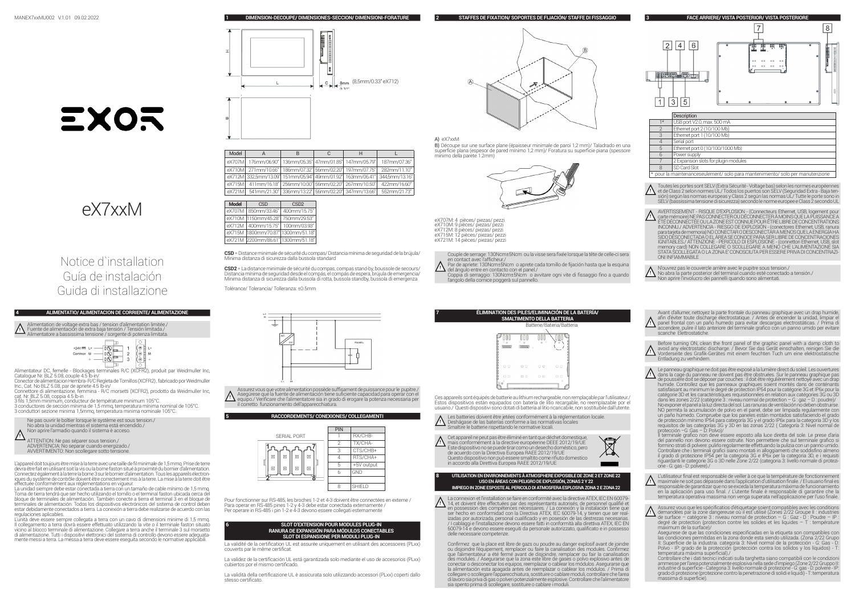**1 DIMENSION-DECOUPE/ DIMENSIONES-SECCION/ DIMENSIONI-FORATURE**

**2 STAFFES DE FIXATION/ SOPORTES DE FIJACIÓN/ STAFFE DI FISSAGGIO**

**3 FACE ARRIERE/ VISTA POSTERIOR/ VISTA POSTERIORE**





# Notice d`installation Guía de instalación Guida di installazione

# **4 ALIMENTATIO/ ALIMENTACION DE CORRIENTE/ ALIMENTAZIONE**

**!** Fuente de alimentación de extra baja tensión / Tensión limitada./ Alimentation de voltage extra bas / tension d'alimentation limitée./ Alimentatore a bassissima tensione / sorgente di potenza limitata.



Alimentateur DC, femelle - Blockages terminales R/C (XCFR2), produit par Weidmuller Inc, Catalogue Nr. BLZ 5.08, couple 4.5 lb-in/

Conector de alimentacion Hembra- R/C Regleta de Tornillos (XCFR2) , fabricado por Weidmuller Inc., Cat. No BLZ 5.08, par de apriete 4.5 lb-in/ Connettore di alimentazione, femmina - R/C morsetti (XCFR2), prodotto da Weidmuller Inc,

cat. Nr. BLZ 5.08, coppia 4.5 lb-in 3 fils 1,5mm minimum, conducteur de température minimum 105°C.

3 conductores de sección mínima de 1,5 mmq, temperatura mínima nominal de 105°C. 3 conduttori sezione minima 1,5mmq, temperatura minima nominale 105°C.



ATTENTION: Ne pas séparer sous tension./ ADVERTENCIA: No separar cuando energizado./ AVVERTIMENTO: Non scollegare sotto tensione.

L'appareil doit toujours être mise à la terre avec une taille de fil minimale de 1,5 mmq. Prise de terre devra être fait en utilisant soit la vis ou la borne faston situé à proximité du bornier d'alimentation. Connectez également à la terre la borne 3 sur le bornier d'alimentation. Tous les appareils électroniques du système de contrôle doivent être correctement mis à la terre. La mise à la terre doit être effectuée conformément aux réglementations en vigueur.

La unidad siempre debe estar conectada a tierra con un tamaño de cable mínimo de 1,5 mmq. Toma de tierra tendrá que ser hecho utilizando el tornillo o el terminal faston ubicada cerca del bloque de terminales de alimentación. También conecte a tierra el terminal 3 en el bloque de terminales de alimentación. Todos los dispositivos electrónicos del sistema de control deben estar debidamente conectados a tierra. La conexión a tierra debe realizarse de acuerdo con las regulaciones aplicables.

L'unità deve essere sempre collegata a terra con un cavo di dimensioni minime di 1,5 mmq. Il collegamento a terra dovrà essere effettuato utilizzando la vite o il terminale faston situato vicino al blocco terminale di alimentazione. Collegare a terra anche il terminale 3 sul morsetto di alimentazione. Tutti i dispositivi elettronici del sistema di controllo devono essere adeguata- mente messi a terra. La messa a terra deve essere eseguita secondo le normative applicabili.



| Model  |                                                                   |  | н                                                  |                |
|--------|-------------------------------------------------------------------|--|----------------------------------------------------|----------------|
|        | eX707M   176mm/06.90"   136mm/05.35"   47mm/01.85"   147mm/05.79" |  |                                                    | 187mm/07.36"   |
|        | eX710M 271mm/10.66"   186mm/07.32" 56mm/02.20"   197mm/07.75"     |  |                                                    | 282mm/11.10"   |
|        | eX712M 332.5mm/13.09" 151mm/05.94" 49mm/01.92" 163mm/06.41"       |  |                                                    | 344.5mm/13.16" |
| eX715M |                                                                   |  | 411mm/16.18" 256mm/10.00" 56mm/02.20" 267mm/10.50" | 422mm/16.60"   |
| eX721M |                                                                   |  | 541mm/21.30" 336mm/13.22" 56mm/02.20" 347mm/13.66" | 552mm/21.73"   |



**CSD** = Distance minimale de sécurité du compas/ Distancia mínima de seguridad de la brújula/ Minima distanza di sicurezza dalla bussola standard

**CSD2** = La distance minimale de sécurité du compas, compas stand-by, boussole de secours/ Distancia mínima de seguridad desde el compás, el compás de espera, brújula de emergencia/ Minima distanza di sicurezza dalla bussola di rotta, bussola standby, bussola di emergenza

Tolérance/ Tolerancia/ Tolleranza: ±0.5mm



**!** Asegúrese que la fuente de alimentación tiene suficiente capacidad para operar con el equipo./ Verificare che l'alimentatore sia in grado di erogare la potenza necessaria per Assurez vous que votre alimentation possède suffisament de puissance pour le pupitre./ il corretto funzionamento dell'apparecchiatura.

# **5 RACCORDEMENTS/ CONEXIONES/ COLLEGAMENTI**



Pour fonctionner sur RS-485, les broches 1-2 et 4-3 doivent être connectées en externe / Para operar en RS-485 pines 1-2 y 4-3 debe estar conectada externamente / Per operare in RS-485 i pin 1-2 e 4-3 devono essere collegati esternamente

# **6 SLOT D'EXTENSION POUR MODULES PLUG-IN RANURA DE EXPANSIÓN PARA MÓDULOS CONECTABLES SLOT DI ESPANSIONE PER MODULI PLUG-IN**

La validité de la certification UL est assurée uniquement en utilisant des accessoires (PLxx) couverts par le même certificat.

La validez de la certificación UL está garantizada solo mediante el uso de accesorios (PLxx) cubiertos por el mismo certificado.

La validità della certificazione UL è assicurata solo utilizzando accessori (PLxx) coperti dallo stesso certificato.



B) Découpe sur une surface plane (épaisseur minimale de paroi 1,2 mm)/ Taladrado en una superficie plana (espesor de pared mínimo 1,2 mm)/ Foratura su superficie piana (spessore minimo della parete 1.2mm)



eX707M: 4 pièces/ piezas/ pezzi eX710M: 9 pièces/ piezas/ pezzi eX712M: 8 pièces/ piezas/ pezzi eX715M: 12 pièces/ piezas/ pezzi eX721M: 14 pièces/ piezas/ pezzi

Couple de serrage: 130Norm±5Norn ou la visse sera fixée lorsque la tête de celle-ci sera<br>en contact avec l'afficheur./<br>Par de apriete: 130Norm±5Norn o aprete cada tornillo de fijación hasta que la esquina<br>del ángulo entre

**!**

l'angolo della cornice poggerà sul pannello.

|  |        |    |        | ÉLIMINATION DES PILES/ELIMINACIÓN DE LA BATERÍA/<br><b>SMALTIMENTO DELLA BATTERIA</b> |  |
|--|--------|----|--------|---------------------------------------------------------------------------------------|--|
|  |        |    |        | Batterie/Bateria/Batteria                                                             |  |
|  |        |    |        |                                                                                       |  |
|  | 00     | 00 | $\Box$ | 0 <sup>0</sup>                                                                        |  |
|  | п<br>D | 田田 | D.D.   | п.<br>п<br>ó                                                                          |  |
|  |        |    |        |                                                                                       |  |

Ces appareils sont équipés de batterie au lithium rechargeable, non remplaçable par l'utilisateur./ Estos dispositivos están equipados con batería de litio recargable, no reemplazable por el usuario./ Questi dispositivi sono dotati di batteria al litio ricaricabile, non sostituibile dall'utente.

**!** Les batteries doivent être jetées conformément à la réglementation locale. Deshágase de las baterías conforme a las normativas locales Smaltire le batterie rispettando le normative locali.

**! \** Cet appareil ne peut pas être éliminé en tant que déchet domestique,<br>! **\** mais conformément à la directive européenne DEEE 2012/19/UE<br>Este dispositivo no se puede tirar como un desecho doméstico, pero de acuerdo con la Directiva Europea RAEE 2012/19/UE XX. Questo dispositivo non può essere smaltito come rifiuto domestico in accordo alla Direttiva Europea RAEE 2012/19/UE

# **USO EN ÁREAS CON PELIGRO DE EXPLOSIÓN, ZONAS 2 Y 22 IMPIEGO IN ZONE ESPOSTE AL PERICOLO DI ATMOSFERA ESPLOSIVA ZONA 2 E ZONA 22**

 $\bigwedge$  La connexion et l'installation se faire en conformité avec la directive ATEX, IEC EN 60079-<br>11 , 14, et doivent être effectuées par des représentants autorisés, de personnel qualifié et<br>12 en possession des compéte ser hecho en conformidad con la Directiva ATEX, IEC 60079-14, y tienen que ser real-izadas por autorizada, personal cualificado y en posesión de las destrezas necesarias. / I cablaggi e l'installazione devono essere fatti in conformità alla direttiva ATEX, IEC EN 60079-14 e devono essere eseguiti da personale autorizzato, qualificato e in possesso delle necessarie competenze.

**8 UTILISATION EN ENVIRONNEMENTS À ATMOSPHERE EXPOSIBLE DE ZONE 2 ET ZONE 22** 

Confirmez que la place est libre de gazs ou poudre au danger explosif avant de joindre ou disjoindre l'équipement, remplacer ou faire la canalisation des modules. Confirmez que l'alimentateur a été fermé avant de disjoindre, remplacer ou fair la canalisation des modules. / Asegurarse que la zona este libre de gases o polvo explosivo antes de conectar o desconectar los equipos, reemplazar o cablear los módulos .Asegurarse que la alimentación esta apagada antes de reemplazar o cablear los módulos. / Prima di collegare o scollegare l'apparecchiatura, sostituire o cablare moduli, controllare che l'area di lavoro sia priva di gas o polveri potenzialmente esplosive. Controllare che l'alimentatore sia spento prima di scollegare, sostituire o cablare i moduli.



\* pour la maintenanceseulement/ solo para mantenimiento/ solo per manutenzione Toutes les portes sont SELV (Extra Sécurité - Voltage bas) selon les normes européennes<br>• set de Class 2 selon normes UL/ Todos los puertos son SELV (Seguridad Extra - Baja ten-<br>sión) según las normas europeas y Class 2 se

SELV (bassissima tensione di sicurezza) secondo le norme europee e Class 2 secondo UL

7 2 Expansion slots for plugin modules

SD Card Slot

**!** AVERTISSEMENT - RISQUE D'EXPLOSION - (Connecteurs Ethernet, USB, logement pour carte mémoire) NE PAS CONNECTER OU DÉCONNECTER À MOINS QUE LA PUISSANCE A E l'EDECONNEC l'EE OU LA ZONE EST CONNUE POUR ETRE LIBRE DE CONCENTRATIONS<br>INCONNU*I A* DUFERTENCIA - RIESGO DE EXPLOSIÓN - (conectores Ethernet, USB, ranura<br>para tarjeta de memoria) NO CONECTAR O DESCONECTAR A MENOS QUE L SIDO DESCONECTADA O EL AREA SE CONOCE PARA SER LIBRE DE CONCENTRACIONES<br>IGNITABLES./ ATTENZIONE - PERICOLO DI ESPLOSIONE - (connettori Ethernet, USB, slot memory card) NON COLLEGARE O SCOLLEGARE A MENO CHE L'ALIMENTAZIONE SIA<br>STATA SCOLLEGATA O LA ZONA E' CONOSCIUTA PER ESSERE PRIVA DI CONCENTRAZI-<br>ONI INFIAMMABILE

**↑ N'ouvrez pas le couvercle arrière avec le pupitre sous tension./<br>↑ No abra la parte posterior del terminal cuando esté conectado a tensión./<br>Non aprire l'involucro dei pannelli quando sono alimentati.** 

**!** afin d'éviter toute discharge électrostatique. / Antes de encender la unidad, limpiar el panel frontal con un paño humedo para evitar descargas electrostáticas. / Prima di Avant d'allumer, nettoyez la parte frontale du panneau graphique avec un drap humide, accendere, pulire il lato anteriore del terminale grafico con un panno umido per evitare scariche Elettrostatiche.

Before turning ON, clean the front panel of the graphic panel with a damp cloth to<br>A avoid any electrostatic discharge. / Bevor Sie das Gerät einschalten, reinigen Sie die<br>Vorderseite des Grafik-Gerätes mit einem feuchten Entladung zu verhindern.

**!** Le panneau graphique ne doit pas être exposé a la lumière direct du soleil. Les ouvertures dans la cage du panneau ne doivent pas être obstruées. Sur le panneau graphique pas de poussière doit se déposer par couches : il doit être régulièrement nettoyé avec un drap<br>humide. Controllez que les panneaux graphiques soient montés dans de conténants<br>satisfaisant au minimum le degré de protection IP54 catégorie 3D et les caractéristiques requisitionnées en relation aux catégories 3G ou 3D dans les zones 2/22 (catégorie 3 : niveau normal de protection – G : gaz – D : poudre)/ No exponer el panel a la luz directa del sol. Las ranuras de ventilación no deben obstruirse. NO permita la acumulación de polvo en el panel, debe ser limpiada regularmente con<br>un paño húmedo. Compruebe que los paneles están montados satisfaciendo el grado<br>de protección mínimo IP54 para categoría 3G y el grado IP6x protección –G :Gas – D: Polvo)/ Il terminale grafico non deve essere esposto alla luce diretta del sole. Le prese d'aria

del pannello non devono essere ostruite. Non permettere che sul terminale grafico si formino strati di polvere: pulirlo regolarmente effettuando la pulizia con un panno umido. Controllare che i terminali grafici siano montati in alloggiamenti che soddisfino almeno il grado di protezione IP54 per la categoria 3G e IP6x per la categoria 3D, e i requisiti riguardanti le categorie 3G o 3D nelle Zone 2/22 (categoria 3: livello normale di protezi-one - G: gas - D: polvere)./

- **!** L'utilisateur final est responsable de veiller à ce que la température de fonctionnement maximale ne soit pas dépassée dans l'application d'utilisation finale. / El usuario final es responsable de garantizar que no se exceda la temperatura máxima de funcionamiento en la aplicación para uso final. / L'utente finale è responsabile di garantire che la temperatura operativa massima non venga superata nell'applicazione per l'uso finale.
- ↑ Assurez vous que les spécificatios d'étiquetage soient compatibles avec les conditions<br>! demandées par la zone dangereuse où il est utilisé (Zones 2/22 Groupe II : industries<br>: de surface catégorie 3 : niveau normal d degré de protection (protection contre les solides et les liquides – T : température maximum de la surface)/

Asegurese de que las condiciones especificadas en la etiqueta son compatibles con las condiciones permitidas en la zona donde esta siendo utilizada. (Zona 2/22 Grupo II: Superficie de la industria. categoría 3: Nivel normal de la protección - G: Gas - D: Polvo - IP: grado de la protección (protección contra los sólidos y los líquidos) - T: temperatura máxima superficial)./ Controllare che i dati tecnici indicati sulla targhetta siano compatibili con le condizioni

ammesse per l'area potenzialmente esplosiva nella sede d'impiego (Zone 2/22 Gruppo II:<br>industrie di superficie - Categoria 3: livello normale di protezione - G: gas - D: polvere - IP:<br>grado di protezione (protezione contro massima di superficie).